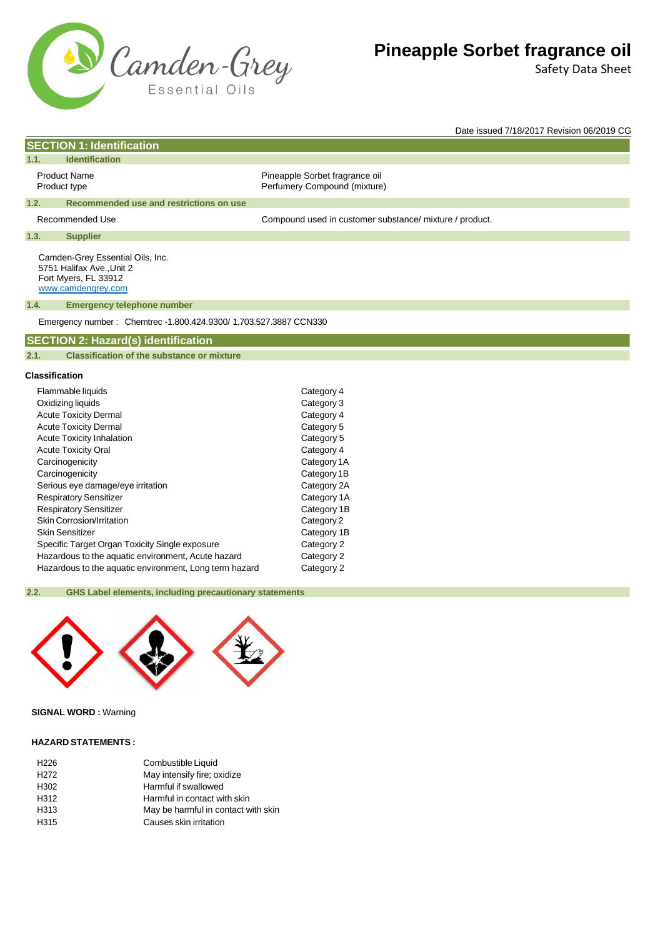

Safety Data Sheet

Date issued 7/18/2017 Revision 06/2019 CG

|                              | <b>SECTION 1: Identification</b>                                                                            |                                                                |  |
|------------------------------|-------------------------------------------------------------------------------------------------------------|----------------------------------------------------------------|--|
| 1.1.                         | <b>Identification</b>                                                                                       |                                                                |  |
|                              | <b>Product Name</b><br>Product type                                                                         | Pineapple Sorbet fragrance oil<br>Perfumery Compound (mixture) |  |
| 1.2.                         | Recommended use and restrictions on use                                                                     |                                                                |  |
|                              | <b>Recommended Use</b>                                                                                      | Compound used in customer substance/ mixture / product.        |  |
| 1.3.                         | <b>Supplier</b>                                                                                             |                                                                |  |
|                              | Camden-Grey Essential Oils, Inc.<br>5751 Halifax Ave., Unit 2<br>Fort Myers, FL 33912<br>www.camdengrey.com |                                                                |  |
| 1.4.                         | <b>Emergency telephone number</b>                                                                           |                                                                |  |
|                              | Emergency number: Chemtrec -1.800.424.9300/ 1.703.527.3887 CCN330                                           |                                                                |  |
|                              | <b>SECTION 2: Hazard(s) identification</b>                                                                  |                                                                |  |
| 2.1.                         | <b>Classification of the substance or mixture</b>                                                           |                                                                |  |
|                              |                                                                                                             |                                                                |  |
|                              | <b>Classification</b>                                                                                       |                                                                |  |
|                              | Flammable liquids                                                                                           | Category 4                                                     |  |
| Oxidizing liquids            |                                                                                                             | Category 3                                                     |  |
|                              | <b>Acute Toxicity Dermal</b>                                                                                | Category 4                                                     |  |
| <b>Acute Toxicity Dermal</b> |                                                                                                             | Category 5                                                     |  |
|                              | <b>Acute Toxicity Inhalation</b>                                                                            | Category 5                                                     |  |
|                              | <b>Acute Toxicity Oral</b>                                                                                  | Category 4                                                     |  |
|                              | Carcinogenicity                                                                                             | Category 1A                                                    |  |
|                              | Carcinogenicity                                                                                             | Category 1B                                                    |  |
|                              | Sarious ava damaga/ava irritation                                                                           | $C$ ategory $2\Delta$                                          |  |

| Flammable liquids                                      | Category 4  |
|--------------------------------------------------------|-------------|
| Oxidizing liquids                                      | Category 3  |
| <b>Acute Toxicity Dermal</b>                           | Category 4  |
| <b>Acute Toxicity Dermal</b>                           | Category 5  |
| <b>Acute Toxicity Inhalation</b>                       | Category 5  |
| <b>Acute Toxicity Oral</b>                             | Category 4  |
| Carcinogenicity                                        | Category 1A |
| Carcinogenicity                                        | Category 1B |
| Serious eye damage/eye irritation                      | Category 2A |
| <b>Respiratory Sensitizer</b>                          | Category 1A |
| <b>Respiratory Sensitizer</b>                          | Category 1B |
| Skin Corrosion/Irritation                              | Category 2  |
| Skin Sensitizer                                        | Category 1B |
| Specific Target Organ Toxicity Single exposure         | Category 2  |
| Hazardous to the aquatic environment, Acute hazard     | Category 2  |
| Hazardous to the aquatic environment, Long term hazard | Category 2  |

### **2.2. GHS Label elements, including precautionary statements**



### **SIGNAL WORD :** Warning

#### **HAZARD STATEMENTS :**

| Combustible Liquid                  |
|-------------------------------------|
| May intensify fire; oxidize         |
| Harmful if swallowed                |
| Harmful in contact with skin        |
| May be harmful in contact with skin |
| Causes skin irritation              |
|                                     |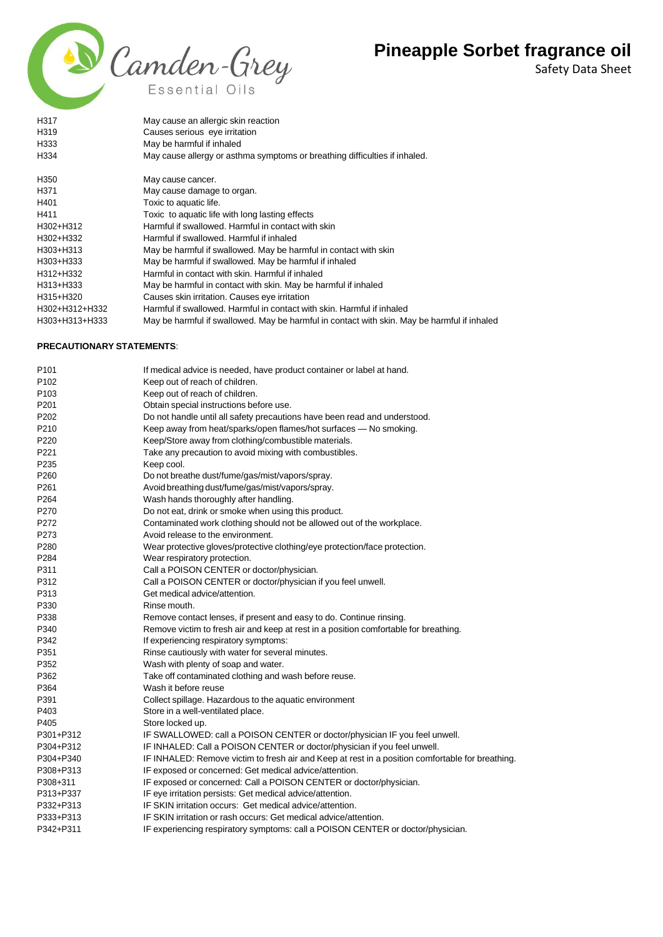

Safety Data Sheet

| H317           | May cause an allergic skin reaction                                                         |
|----------------|---------------------------------------------------------------------------------------------|
| H319           | Causes serious eye irritation                                                               |
| H333           | May be harmful if inhaled                                                                   |
| H334           | May cause allergy or asthma symptoms or breathing difficulties if inhaled.                  |
| H350           | May cause cancer.                                                                           |
| H371           | May cause damage to organ.                                                                  |
| H401           | Toxic to aquatic life.                                                                      |
| H411           | Toxic to aquatic life with long lasting effects                                             |
| H302+H312      | Harmful if swallowed. Harmful in contact with skin                                          |
| H302+H332      | Harmful if swallowed. Harmful if inhaled                                                    |
| H303+H313      | May be harmful if swallowed. May be harmful in contact with skin                            |
| H303+H333      | May be harmful if swallowed. May be harmful if inhaled                                      |
| H312+H332      | Harmful in contact with skin. Harmful if inhaled                                            |
| H313+H333      | May be harmful in contact with skin. May be harmful if inhaled                              |
| H315+H320      | Causes skin irritation. Causes eye irritation                                               |
| H302+H312+H332 | Harmful if swallowed. Harmful in contact with skin. Harmful if inhaled                      |
| H303+H313+H333 | May be harmful if swallowed. May be harmful in contact with skin. May be harmful if inhaled |

#### **PRECAUTIONARY STATEMENTS**:

| P101             | If medical advice is needed, have product container or label at hand.                            |
|------------------|--------------------------------------------------------------------------------------------------|
| P <sub>102</sub> | Keep out of reach of children.                                                                   |
| P <sub>103</sub> | Keep out of reach of children.                                                                   |
| P201             | Obtain special instructions before use.                                                          |
| P202             | Do not handle until all safety precautions have been read and understood.                        |
| P210             | Keep away from heat/sparks/open flames/hot surfaces - No smoking.                                |
| P220             | Keep/Store away from clothing/combustible materials.                                             |
| P221             | Take any precaution to avoid mixing with combustibles.                                           |
| P235             | Keep cool.                                                                                       |
| P260             | Do not breathe dust/fume/gas/mist/vapors/spray.                                                  |
| P261             | Avoid breathing dust/fume/gas/mist/vapors/spray.                                                 |
| P <sub>264</sub> | Wash hands thoroughly after handling.                                                            |
| P270             | Do not eat, drink or smoke when using this product.                                              |
| P272             | Contaminated work clothing should not be allowed out of the workplace.                           |
| P273             | Avoid release to the environment.                                                                |
| P280             | Wear protective gloves/protective clothing/eye protection/face protection.                       |
| P284             | Wear respiratory protection.                                                                     |
| P311             | Call a POISON CENTER or doctor/physician.                                                        |
| P312             | Call a POISON CENTER or doctor/physician if you feel unwell.                                     |
| P313             | Get medical advice/attention.                                                                    |
| P330             | Rinse mouth.                                                                                     |
| P338             | Remove contact lenses, if present and easy to do. Continue rinsing.                              |
| P340             | Remove victim to fresh air and keep at rest in a position comfortable for breathing.             |
| P342             | If experiencing respiratory symptoms:                                                            |
| P351             | Rinse cautiously with water for several minutes.                                                 |
| P352             | Wash with plenty of soap and water.                                                              |
| P362             | Take off contaminated clothing and wash before reuse.                                            |
| P364             | Wash it before reuse                                                                             |
| P391             | Collect spillage. Hazardous to the aquatic environment                                           |
| P403             | Store in a well-ventilated place.                                                                |
| P405             | Store locked up.                                                                                 |
| P301+P312        | IF SWALLOWED: call a POISON CENTER or doctor/physician IF you feel unwell.                       |
| P304+P312        | IF INHALED: Call a POISON CENTER or doctor/physician if you feel unwell.                         |
| P304+P340        | IF INHALED: Remove victim to fresh air and Keep at rest in a position comfortable for breathing. |
| P308+P313        | IF exposed or concerned: Get medical advice/attention.                                           |
| P308+311         | IF exposed or concerned: Call a POISON CENTER or doctor/physician.                               |
| P313+P337        | IF eye irritation persists: Get medical advice/attention.                                        |
| P332+P313        | IF SKIN irritation occurs: Get medical advice/attention.                                         |
| P333+P313        | IF SKIN irritation or rash occurs: Get medical advice/attention.                                 |
| P342+P311        | IF experiencing respiratory symptoms: call a POISON CENTER or doctor/physician.                  |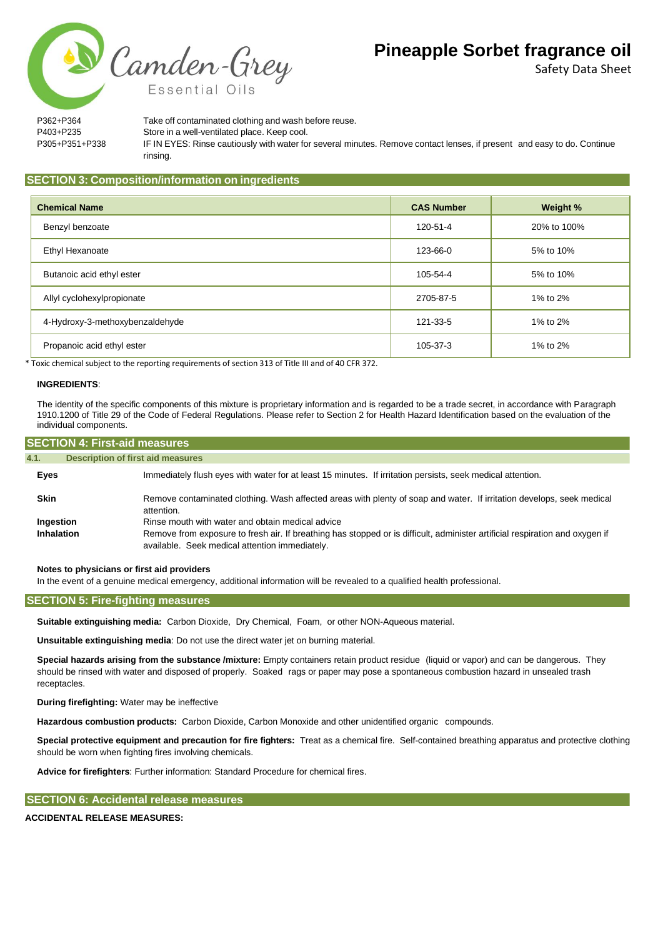Safety Data Sheet

Camden-Grey

P362+P364 Take off contaminated clothing and wash before reuse. P403+P235 Store in a well-ventilated place. Keep cool. P305+P351+P338 IF IN EYES: Rinse cautiously with water for several minutes. Remove contact lenses, if present and easy to do. Continue rinsing.

#### **SECTION 3: Composition/information on ingredients**

Essential Oi

| <b>Chemical Name</b>            | <b>CAS Number</b> | Weight %    |
|---------------------------------|-------------------|-------------|
| Benzyl benzoate                 | 120-51-4          | 20% to 100% |
| Ethyl Hexanoate                 | 123-66-0          | 5% to 10%   |
| Butanoic acid ethyl ester       | 105-54-4          | 5% to 10%   |
| Allyl cyclohexylpropionate      | 2705-87-5         | 1% to 2%    |
| 4-Hydroxy-3-methoxybenzaldehyde | 121-33-5          | 1% to 2%    |
| Propanoic acid ethyl ester      | 105-37-3          | 1% to 2%    |

\* Toxic chemical subject to the reporting requirements of section 313 of Title III and of 40 CFR 372.

#### **INGREDIENTS**:

The identity of the specific components of this mixture is proprietary information and is regarded to be a trade secret, in accordance with Paragraph 1910.1200 of Title 29 of the Code of Federal Regulations. Please refer to Section 2 for Health Hazard Identification based on the evaluation of the individual components.

| <b>SECTION 4: First-aid measures</b> |                                                                                                                                                                                                                                    |  |  |
|--------------------------------------|------------------------------------------------------------------------------------------------------------------------------------------------------------------------------------------------------------------------------------|--|--|
| 4.1.                                 | <b>Description of first aid measures</b>                                                                                                                                                                                           |  |  |
| Eyes                                 | Immediately flush eyes with water for at least 15 minutes. If irritation persists, seek medical attention.                                                                                                                         |  |  |
| <b>Skin</b>                          | Remove contaminated clothing. Wash affected areas with plenty of soap and water. If irritation develops, seek medical<br>attention.                                                                                                |  |  |
| Ingestion<br>Inhalation              | Rinse mouth with water and obtain medical advice<br>Remove from exposure to fresh air. If breathing has stopped or is difficult, administer artificial respiration and oxygen if<br>available. Seek medical attention immediately. |  |  |

**Notes to physicians or first aid providers**

In the event of a genuine medical emergency, additional information will be revealed to a qualified health professional.

### **SECTION 5: Fire-fighting measures**

**Suitable extinguishing media:** Carbon Dioxide, Dry Chemical, Foam, or other NON-Aqueous material.

**Unsuitable extinguishing media**: Do not use the direct water jet on burning material.

**Special hazards arising from the substance /mixture:** Empty containers retain product residue (liquid or vapor) and can be dangerous. They should be rinsed with water and disposed of properly. Soaked rags or paper may pose a spontaneous combustion hazard in unsealed trash receptacles.

**During firefighting:** Water may be ineffective

**Hazardous combustion products:** Carbon Dioxide, Carbon Monoxide and other unidentified organic compounds.

**Special protective equipment and precaution for fire fighters:** Treat as a chemical fire. Self-contained breathing apparatus and protective clothing should be worn when fighting fires involving chemicals.

**Advice for firefighters**: Further information: Standard Procedure for chemical fires.

### **SECTION 6: Accidental release measures**

#### **ACCIDENTAL RELEASE MEASURES:**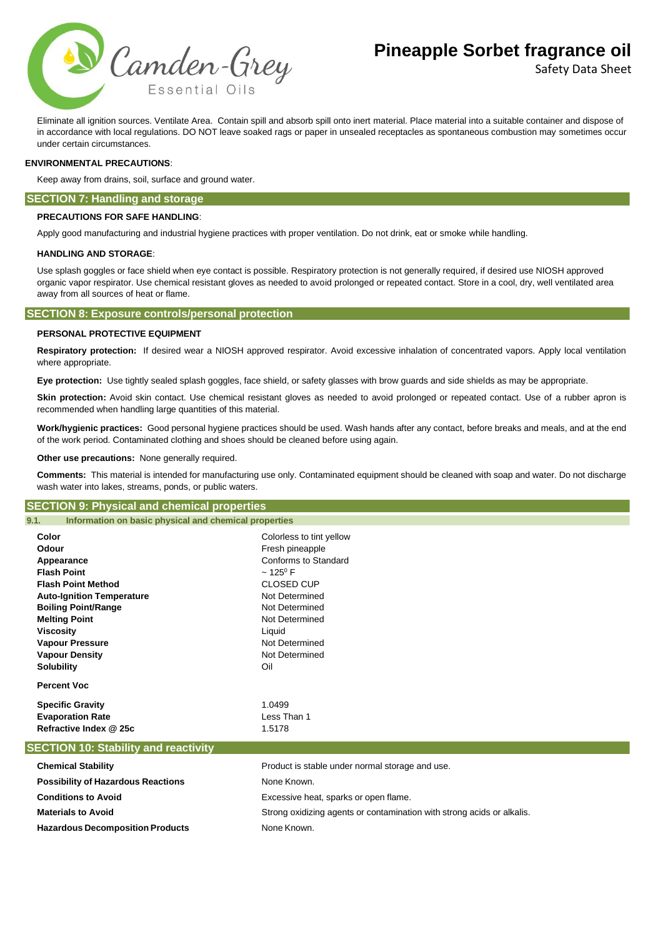

Safety Data Sheet

Eliminate all ignition sources. Ventilate Area. Contain spill and absorb spill onto inert material. Place material into a suitable container and dispose of in accordance with local regulations. DO NOT leave soaked rags or paper in unsealed receptacles as spontaneous combustion may sometimes occur under certain circumstances.

#### **ENVIRONMENTAL PRECAUTIONS**:

Keep away from drains, soil, surface and ground water.

#### **SECTION 7: Handling and storage**

#### **PRECAUTIONS FOR SAFE HANDLING**:

Apply good manufacturing and industrial hygiene practices with proper ventilation. Do not drink, eat or smoke while handling.

#### **HANDLING AND STORAGE**:

Use splash goggles or face shield when eye contact is possible. Respiratory protection is not generally required, if desired use NIOSH approved organic vapor respirator. Use chemical resistant gloves as needed to avoid prolonged or repeated contact. Store in a cool, dry, well ventilated area away from all sources of heat or flame.

#### **SECTION 8: Exposure controls/personal protection**

#### **PERSONAL PROTECTIVE EQUIPMENT**

**Respiratory protection:** If desired wear a NIOSH approved respirator. Avoid excessive inhalation of concentrated vapors. Apply local ventilation where appropriate.

**Eye protection:** Use tightly sealed splash goggles, face shield, or safety glasses with brow guards and side shields as may be appropriate.

Skin protection: Avoid skin contact. Use chemical resistant gloves as needed to avoid prolonged or repeated contact. Use of a rubber apron is recommended when handling large quantities of this material.

**Work/hygienic practices:** Good personal hygiene practices should be used. Wash hands after any contact, before breaks and meals, and at the end of the work period. Contaminated clothing and shoes should be cleaned before using again.

**Other use precautions:** None generally required.

**Comments:** This material is intended for manufacturing use only. Contaminated equipment should be cleaned with soap and water. Do not discharge wash water into lakes, streams, ponds, or public waters.

#### **SECTION 9: Physical and chemical properties**

**Hazardous Decomposition Products** None Known.

| 9.1.<br>Information on basic physical and chemical properties |                                                 |  |  |
|---------------------------------------------------------------|-------------------------------------------------|--|--|
| Color                                                         | Colorless to tint yellow                        |  |  |
| Odour                                                         | Fresh pineapple                                 |  |  |
| Appearance                                                    | Conforms to Standard                            |  |  |
| <b>Flash Point</b>                                            | $~125^{\circ}$ F<br><b>CLOSED CUP</b>           |  |  |
| <b>Flash Point Method</b>                                     |                                                 |  |  |
| <b>Auto-Ignition Temperature</b>                              | Not Determined                                  |  |  |
| <b>Boiling Point/Range</b>                                    | Not Determined                                  |  |  |
| <b>Melting Point</b>                                          | Not Determined                                  |  |  |
| Viscosity                                                     | Liquid                                          |  |  |
| <b>Vapour Pressure</b>                                        | Not Determined                                  |  |  |
| <b>Vapour Density</b>                                         | Not Determined                                  |  |  |
| <b>Solubility</b>                                             | Oil                                             |  |  |
| <b>Percent Voc</b>                                            |                                                 |  |  |
| <b>Specific Gravity</b>                                       | 1.0499                                          |  |  |
| <b>Evaporation Rate</b>                                       | Less Than 1                                     |  |  |
| Refractive Index @ 25c                                        | 1.5178                                          |  |  |
| <b>SECTION 10: Stability and reactivity</b>                   |                                                 |  |  |
| <b>Chemical Stability</b>                                     | Product is stable under normal storage and use. |  |  |
| <b>Possibility of Hazardous Reactions</b>                     | None Known.                                     |  |  |
| <b>Conditions to Avoid</b>                                    | Excessive heat, sparks or open flame.           |  |  |

**Materials to Avoid** Strong oxidizing agents or contamination with strong acids or alkalis.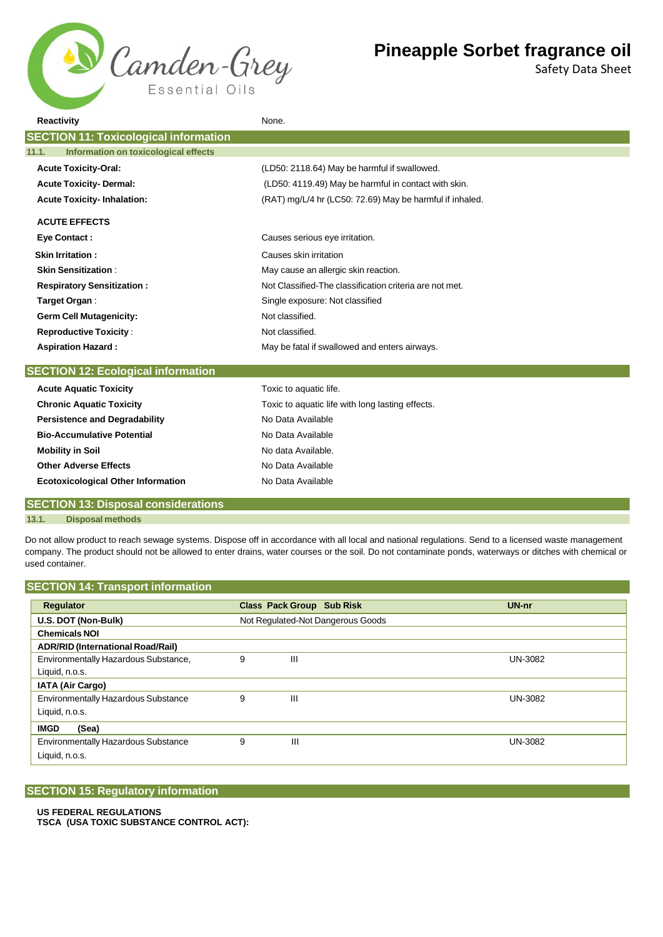

Safety Data Sheet

| <b>Reactivity</b>                             | None.                                                    |  |  |
|-----------------------------------------------|----------------------------------------------------------|--|--|
| <b>SECTION 11: Toxicological information</b>  |                                                          |  |  |
| Information on toxicological effects<br>11.1. |                                                          |  |  |
| <b>Acute Toxicity-Oral:</b>                   | (LD50: 2118.64) May be harmful if swallowed.             |  |  |
| <b>Acute Toxicity- Dermal:</b>                | (LD50: 4119.49) May be harmful in contact with skin.     |  |  |
| <b>Acute Toxicity-Inhalation:</b>             | (RAT) mg/L/4 hr (LC50: 72.69) May be harmful if inhaled. |  |  |
| <b>ACUTE EFFECTS</b>                          |                                                          |  |  |
| <b>Eye Contact:</b>                           | Causes serious eye irritation.                           |  |  |
| <b>Skin Irritation:</b>                       | Causes skin irritation                                   |  |  |
| <b>Skin Sensitization:</b>                    | May cause an allergic skin reaction.                     |  |  |
| <b>Respiratory Sensitization:</b>             | Not Classified-The classification criteria are not met.  |  |  |
| Target Organ:                                 | Single exposure: Not classified                          |  |  |
| <b>Germ Cell Mutagenicity:</b>                | Not classified.                                          |  |  |
| <b>Reproductive Toxicity:</b>                 | Not classified.                                          |  |  |
| <b>Aspiration Hazard:</b>                     | May be fatal if swallowed and enters airways.            |  |  |
| <b>SECTION 12: Ecological information</b>     |                                                          |  |  |
| <b>Acute Aquatic Toxicity</b>                 | Toxic to aquatic life.                                   |  |  |
| <b>Chronic Aquatic Toxicity</b>               | Toxic to aquatic life with long lasting effects.         |  |  |
| <b>Persistence and Degradability</b>          | No Data Available                                        |  |  |
| <b>Bio-Accumulative Potential</b>             | No Data Available                                        |  |  |
| <b>Mobility in Soil</b>                       | No data Available.                                       |  |  |
| <b>Other Adverse Effects</b>                  | No Data Available                                        |  |  |
| <b>Ecotoxicological Other Information</b>     | No Data Available                                        |  |  |

## **SECTION 13: Disposal considerations**

**13.1. Disposal methods**

Do not allow product to reach sewage systems. Dispose off in accordance with all local and national regulations. Send to a licensed waste management company. The product should not be allowed to enter drains, water courses or the soil. Do not contaminate ponds, waterways or ditches with chemical or used container.

## **SECTION 14: Transport information**

| <b>Regulator</b>                           |   | <b>Class Pack Group Sub Risk</b>  | UN-nr          |
|--------------------------------------------|---|-----------------------------------|----------------|
| U.S. DOT (Non-Bulk)                        |   | Not Regulated-Not Dangerous Goods |                |
| <b>Chemicals NOI</b>                       |   |                                   |                |
| <b>ADR/RID (International Road/Rail)</b>   |   |                                   |                |
| Environmentally Hazardous Substance,       | 9 | Ш                                 | <b>UN-3082</b> |
| Liquid, n.o.s.                             |   |                                   |                |
| <b>IATA (Air Cargo)</b>                    |   |                                   |                |
| <b>Environmentally Hazardous Substance</b> |   | Ш                                 | <b>UN-3082</b> |
| Liquid, n.o.s.                             |   |                                   |                |
| (Sea)<br><b>IMGD</b>                       |   |                                   |                |
| <b>Environmentally Hazardous Substance</b> | 9 | Ш                                 | <b>UN-3082</b> |
| Liquid, n.o.s.                             |   |                                   |                |

## **SECTION 15: Regulatory information**

## **US FEDERAL REGULATIONS**

**TSCA (USA TOXIC SUBSTANCE CONTROL ACT):**